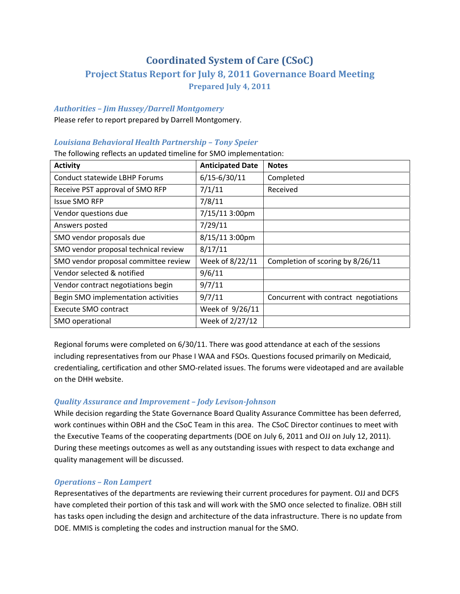# **Coordinated System of Care (CSoC)**

# **Project Status Report for July 8, 2011 Governance Board Meeting Prepared July 4, 2011**

### *Authorities – Jim Hussey/Darrell Montgomery*

Please refer to report prepared by Darrell Montgomery.

### *Louisiana Behavioral Health Partnership – Tony Speier*

The following reflects an updated timeline for SMO implementation:

| <b>Activity</b>                      | <b>Anticipated Date</b> | <b>Notes</b>                          |
|--------------------------------------|-------------------------|---------------------------------------|
| Conduct statewide LBHP Forums        | $6/15 - 6/30/11$        | Completed                             |
| Receive PST approval of SMO RFP      | 7/1/11                  | Received                              |
| <b>Issue SMO RFP</b>                 | 7/8/11                  |                                       |
| Vendor questions due                 | 7/15/11 3:00pm          |                                       |
| Answers posted                       | 7/29/11                 |                                       |
| SMO vendor proposals due             | 8/15/11 3:00pm          |                                       |
| SMO vendor proposal technical review | 8/17/11                 |                                       |
| SMO vendor proposal committee review | Week of 8/22/11         | Completion of scoring by 8/26/11      |
| Vendor selected & notified           | 9/6/11                  |                                       |
| Vendor contract negotiations begin   | 9/7/11                  |                                       |
| Begin SMO implementation activities  | 9/7/11                  | Concurrent with contract negotiations |
| Execute SMO contract                 | Week of 9/26/11         |                                       |
| SMO operational                      | Week of 2/27/12         |                                       |

Regional forums were completed on 6/30/11. There was good attendance at each of the sessions including representatives from our Phase I WAA and FSOs. Questions focused primarily on Medicaid, credentialing, certification and other SMO‐related issues. The forums were videotaped and are available on the DHH website.

### *Quality Assurance and Improvement – Jody LevisonJohnson*

While decision regarding the State Governance Board Quality Assurance Committee has been deferred, work continues within OBH and the CSoC Team in this area. The CSoC Director continues to meet with the Executive Teams of the cooperating departments (DOE on July 6, 2011 and OJJ on July 12, 2011). During these meetings outcomes as well as any outstanding issues with respect to data exchange and quality management will be discussed.

## *Operations – Ron Lampert*

Representatives of the departments are reviewing their current procedures for payment. OJJ and DCFS have completed their portion of this task and will work with the SMO once selected to finalize. OBH still has tasks open including the design and architecture of the data infrastructure. There is no update from DOE. MMIS is completing the codes and instruction manual for the SMO.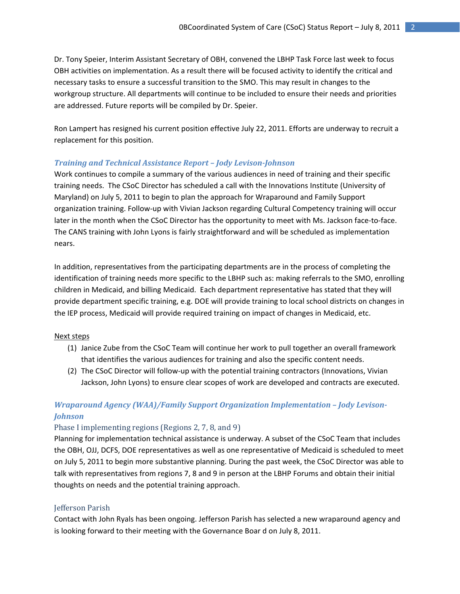Dr. Tony Speier, Interim Assistant Secretary of OBH, convened the LBHP Task Force last week to focus OBH activities on implementation. As a result there will be focused activity to identify the critical and necessary tasks to ensure a successful transition to the SMO. This may result in changes to the workgroup structure. All departments will continue to be included to ensure their needs and priorities are addressed. Future reports will be compiled by Dr. Speier.

Ron Lampert has resigned his current position effective July 22, 2011. Efforts are underway to recruit a replacement for this position.

### *Training and Technical Assistance Report – Jody LevisonJohnson*

Work continues to compile a summary of the various audiences in need of training and their specific training needs. The CSoC Director has scheduled a call with the Innovations Institute (University of Maryland) on July 5, 2011 to begin to plan the approach for Wraparound and Family Support organization training. Follow‐up with Vivian Jackson regarding Cultural Competency training will occur later in the month when the CSoC Director has the opportunity to meet with Ms. Jackson face-to-face. The CANS training with John Lyons is fairly straightforward and will be scheduled as implementation nears.

In addition, representatives from the participating departments are in the process of completing the identification of training needs more specific to the LBHP such as: making referrals to the SMO, enrolling children in Medicaid, and billing Medicaid. Each department representative has stated that they will provide department specific training, e.g. DOE will provide training to local school districts on changes in the IEP process, Medicaid will provide required training on impact of changes in Medicaid, etc.

#### Next steps

- (1) Janice Zube from the CSoC Team will continue her work to pull together an overall framework that identifies the various audiences for training and also the specific content needs.
- (2) The CSoC Director will follow‐up with the potential training contractors (Innovations, Vivian Jackson, John Lyons) to ensure clear scopes of work are developed and contracts are executed.

# *Wraparound Agency (WAA)/Family Support Organ ization Implementation – Jody Levison-Johnson*

#### Phase I implementing regions (Regions 2, 7, 8, and 9)

Planning for implementation technical assistance is underway. A subset of the CSoC Team that includes the OBH, OJJ, DCFS, DOE representatives as well as one representative of Medicaid is scheduled to meet on July 5, 2011 to begin more substantive planning. During the past week, the CSoC Director was able to talk with representatives from regions 7, 8 and 9 in person at the LBHP Forums and obtain their initial thoughts on needs and the potential training approach.

### Jefferson Parish

Contact with John Ryals has been ongoing. Jefferson Parish has selected a new wraparound agency and is looking forward to their meeting with the Governance Boar d on July 8, 2011.